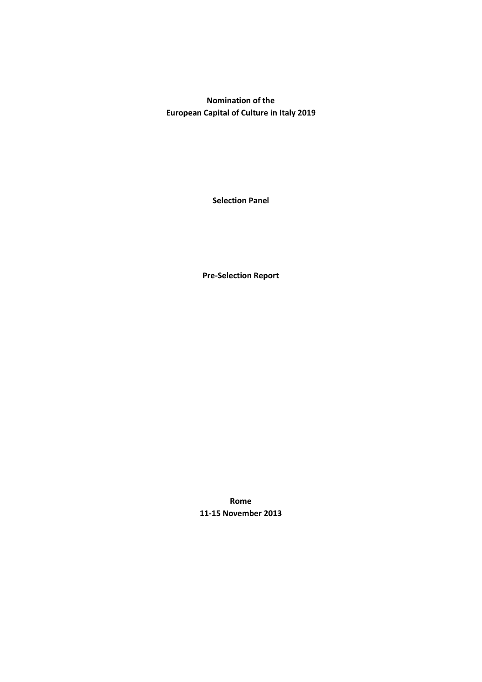**Nomination of the European Capital of Culture in Italy 2019**

**Selection Panel**

**Pre-Selection Report**

**Rome 11-15 November 2013**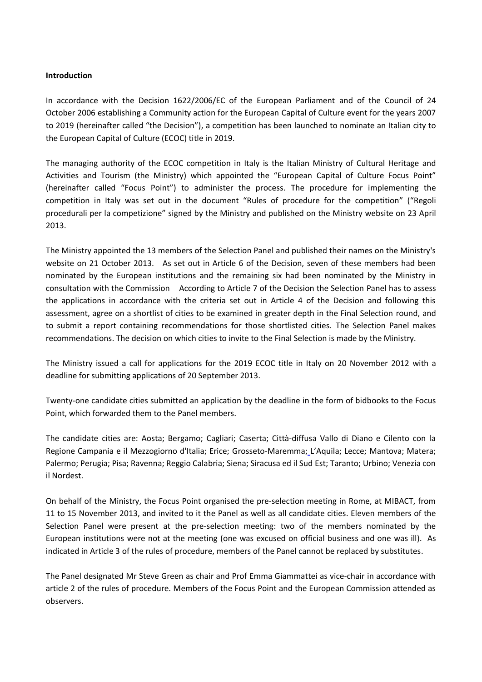### **Introduction**

In accordance with the Decision 1622/2006/EC of the European Parliament and of the Council of 24 October 2006 establishing a Community action for the European Capital of Culture event for the years 2007 to 2019 (hereinafter called "the Decision"), a competition has been launched to nominate an Italian city to the European Capital of Culture (ECOC) title in 2019.

The managing authority of the ECOC competition in Italy is the Italian Ministry of Cultural Heritage and Activities and Tourism (the Ministry) which appointed the "European Capital of Culture Focus Point" (hereinafter called "Focus Point") to administer the process. The procedure for implementing the competition in Italy was set out in the document "Rules of procedure for the competition" ("Regoli procedurali per la competizione" signed by the Ministry and published on the Ministry website on 23 April 2013.

The Ministry appointed the 13 members of the Selection Panel and published their names on the Ministry's website on 21 October 2013. As set out in Article 6 of the Decision, seven of these members had been nominated by the European institutions and the remaining six had been nominated by the Ministry in consultation with the Commission According to Article 7 of the Decision the Selection Panel has to assess the applications in accordance with the criteria set out in Article 4 of the Decision and following this assessment, agree on a shortlist of cities to be examined in greater depth in the Final Selection round, and to submit a report containing recommendations for those shortlisted cities. The Selection Panel makes recommendations. The decision on which cities to invite to the Final Selection is made by the Ministry.

The Ministry issued a call for applications for the 2019 ECOC title in Italy on 20 November 2012 with a deadline for submitting applications of 20 September 2013.

Twenty-one candidate cities submitted an application by the deadline in the form of bidbooks to the Focus Point, which forwarded them to the Panel members.

The candidate cities are: Aosta; Bergamo; Cagliari; Caserta; Città-diffusa Vallo di Diano e Cilento con la Regione Campania e il Mezzogiorno d'Italia; Erice; Grosseto-Maremma; L'Aquila; Lecce; Mantova; Matera; Palermo; Perugia; Pisa; Ravenna; Reggio Calabria; Siena; Siracusa ed il Sud Est; Taranto; Urbino; Venezia con il Nordest.

On behalf of the Ministry, the Focus Point organised the pre-selection meeting in Rome, at MIBACT, from 11 to 15 November 2013, and invited to it the Panel as well as all candidate cities. Eleven members of the Selection Panel were present at the pre-selection meeting: two of the members nominated by the European institutions were not at the meeting (one was excused on official business and one was ill). As indicated in Article 3 of the rules of procedure, members of the Panel cannot be replaced by substitutes.

The Panel designated Mr Steve Green as chair and Prof Emma Giammattei as vice-chair in accordance with article 2 of the rules of procedure. Members of the Focus Point and the European Commission attended as observers.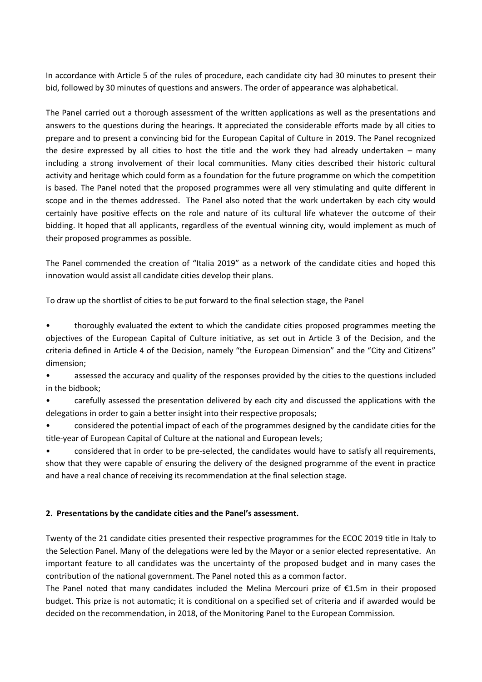In accordance with Article 5 of the rules of procedure, each candidate city had 30 minutes to present their bid, followed by 30 minutes of questions and answers. The order of appearance was alphabetical.

The Panel carried out a thorough assessment of the written applications as well as the presentations and answers to the questions during the hearings. It appreciated the considerable efforts made by all cities to prepare and to present a convincing bid for the European Capital of Culture in 2019. The Panel recognized the desire expressed by all cities to host the title and the work they had already undertaken – many including a strong involvement of their local communities. Many cities described their historic cultural activity and heritage which could form as a foundation for the future programme on which the competition is based. The Panel noted that the proposed programmes were all very stimulating and quite different in scope and in the themes addressed. The Panel also noted that the work undertaken by each city would certainly have positive effects on the role and nature of its cultural life whatever the outcome of their bidding. It hoped that all applicants, regardless of the eventual winning city, would implement as much of their proposed programmes as possible.

The Panel commended the creation of "Italia 2019" as a network of the candidate cities and hoped this innovation would assist all candidate cities develop their plans.

To draw up the shortlist of cities to be put forward to the final selection stage, the Panel

• thoroughly evaluated the extent to which the candidate cities proposed programmes meeting the objectives of the European Capital of Culture initiative, as set out in Article 3 of the Decision, and the criteria defined in Article 4 of the Decision, namely "the European Dimension" and the "City and Citizens" dimension;

• assessed the accuracy and quality of the responses provided by the cities to the questions included in the bidbook;

• carefully assessed the presentation delivered by each city and discussed the applications with the delegations in order to gain a better insight into their respective proposals;

• considered the potential impact of each of the programmes designed by the candidate cities for the title-year of European Capital of Culture at the national and European levels;

• considered that in order to be pre-selected, the candidates would have to satisfy all requirements, show that they were capable of ensuring the delivery of the designed programme of the event in practice and have a real chance of receiving its recommendation at the final selection stage.

# **2. Presentations by the candidate cities and the Panel's assessment.**

Twenty of the 21 candidate cities presented their respective programmes for the ECOC 2019 title in Italy to the Selection Panel. Many of the delegations were led by the Mayor or a senior elected representative. An important feature to all candidates was the uncertainty of the proposed budget and in many cases the contribution of the national government. The Panel noted this as a common factor.

The Panel noted that many candidates included the Melina Mercouri prize of €1.5m in their proposed budget. This prize is not automatic; it is conditional on a specified set of criteria and if awarded would be decided on the recommendation, in 2018, of the Monitoring Panel to the European Commission.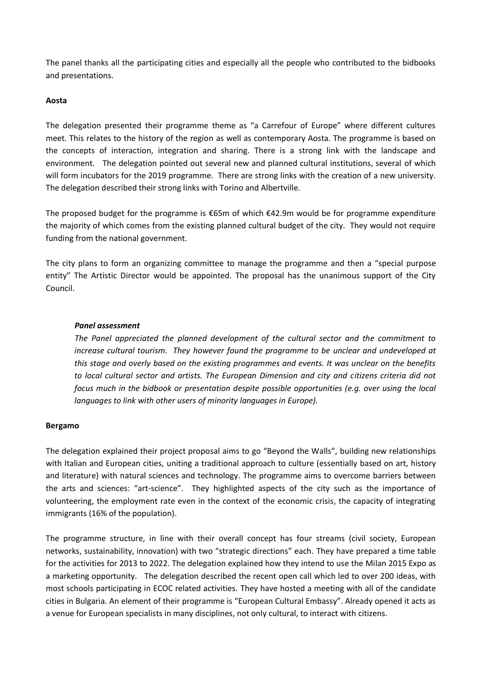The panel thanks all the participating cities and especially all the people who contributed to the bidbooks and presentations.

# **Aosta**

The delegation presented their programme theme as "a Carrefour of Europe" where different cultures meet. This relates to the history of the region as well as contemporary Aosta. The programme is based on the concepts of interaction, integration and sharing. There is a strong link with the landscape and environment. The delegation pointed out several new and planned cultural institutions, several of which will form incubators for the 2019 programme. There are strong links with the creation of a new university. The delegation described their strong links with Torino and Albertville.

The proposed budget for the programme is  $\epsilon$ 65m of which  $\epsilon$ 42.9m would be for programme expenditure the majority of which comes from the existing planned cultural budget of the city. They would not require funding from the national government.

The city plans to form an organizing committee to manage the programme and then a "special purpose entity" The Artistic Director would be appointed. The proposal has the unanimous support of the City Council.

# *Panel assessment*

*The Panel appreciated the planned development of the cultural sector and the commitment to increase cultural tourism. They however found the programme to be unclear and undeveloped at this stage and overly based on the existing programmes and events. It was unclear on the benefits to local cultural sector and artists. The European Dimension and city and citizens criteria did not focus much in the bidbook or presentation despite possible opportunities (e.g. over using the local languages to link with other users of minority languages in Europe).*

#### **Bergamo**

The delegation explained their project proposal aims to go "Beyond the Walls", building new relationships with Italian and European cities, uniting a traditional approach to culture (essentially based on art, history and literature) with natural sciences and technology. The programme aims to overcome barriers between the arts and sciences: "art-science". They highlighted aspects of the city such as the importance of volunteering, the employment rate even in the context of the economic crisis, the capacity of integrating immigrants (16% of the population).

The programme structure, in line with their overall concept has four streams (civil society, European networks, sustainability, innovation) with two "strategic directions" each. They have prepared a time table for the activities for 2013 to 2022. The delegation explained how they intend to use the Milan 2015 Expo as a marketing opportunity. The delegation described the recent open call which led to over 200 ideas, with most schools participating in ECOC related activities. They have hosted a meeting with all of the candidate cities in Bulgaria. An element of their programme is "European Cultural Embassy". Already opened it acts as a venue for European specialists in many disciplines, not only cultural, to interact with citizens.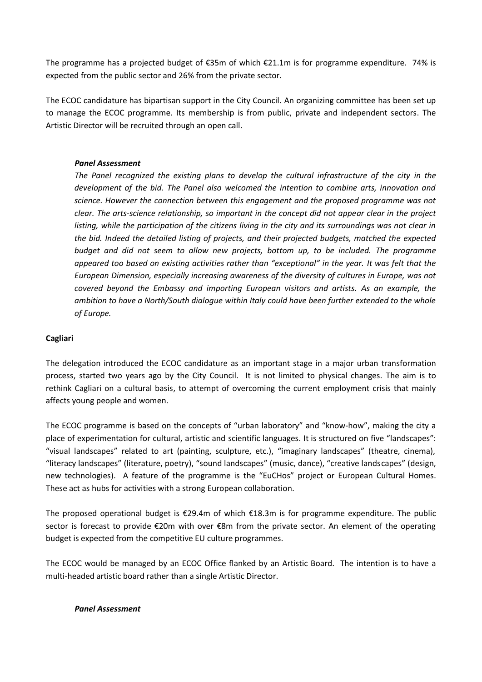The programme has a projected budget of €35m of which €21.1m is for programme expenditure. 74% is expected from the public sector and 26% from the private sector.

The ECOC candidature has bipartisan support in the City Council. An organizing committee has been set up to manage the ECOC programme. Its membership is from public, private and independent sectors. The Artistic Director will be recruited through an open call.

# *Panel Assessment*

*The Panel recognized the existing plans to develop the cultural infrastructure of the city in the development of the bid. The Panel also welcomed the intention to combine arts, innovation and science. However the connection between this engagement and the proposed programme was not clear. The arts-science relationship, so important in the concept did not appear clear in the project listing, while the participation of the citizens living in the city and its surroundings was not clear in the bid. Indeed the detailed listing of projects, and their projected budgets, matched the expected budget and did not seem to allow new projects, bottom up, to be included. The programme appeared too based on existing activities rather than "exceptional" in the year. It was felt that the European Dimension, especially increasing awareness of the diversity of cultures in Europe, was not covered beyond the Embassy and importing European visitors and artists. As an example, the ambition to have a North/South dialogue within Italy could have been further extended to the whole of Europe.*

# **Cagliari**

The delegation introduced the ECOC candidature as an important stage in a major urban transformation process, started two years ago by the City Council. It is not limited to physical changes. The aim is to rethink Cagliari on a cultural basis, to attempt of overcoming the current employment crisis that mainly affects young people and women.

The ECOC programme is based on the concepts of "urban laboratory" and "know-how", making the city a place of experimentation for cultural, artistic and scientific languages. It is structured on five "landscapes": "visual landscapes" related to art (painting, sculpture, etc.), "imaginary landscapes" (theatre, cinema), "literacy landscapes" (literature, poetry), "sound landscapes" (music, dance), "creative landscapes" (design, new technologies). A feature of the programme is the "EuCHos" project or European Cultural Homes. These act as hubs for activities with a strong European collaboration.

The proposed operational budget is €29.4m of which €18.3m is for programme expenditure. The public sector is forecast to provide €20m with over €8m from the private sector. An element of the operating budget is expected from the competitive EU culture programmes.

The ECOC would be managed by an ECOC Office flanked by an Artistic Board. The intention is to have a multi-headed artistic board rather than a single Artistic Director.

# *Panel Assessment*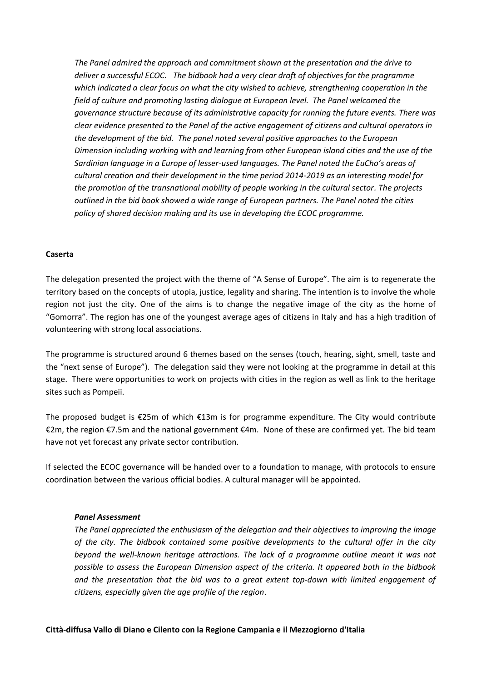*The Panel admired the approach and commitment shown at the presentation and the drive to deliver a successful ECOC. The bidbook had a very clear draft of objectives for the programme which indicated a clear focus on what the city wished to achieve, strengthening cooperation in the field of culture and promoting lasting dialogue at European level. The Panel welcomed the governance structure because of its administrative capacity for running the future events. There was clear evidence presented to the Panel of the active engagement of citizens and cultural operators in the development of the bid. The panel noted several positive approaches to the European Dimension including working with and learning from other European island cities and the use of the Sardinian language in a Europe of lesser-used languages. The Panel noted the EuCho's areas of cultural creation and their development in the time period 2014-2019 as an interesting model for the promotion of the transnational mobility of people working in the cultural sector. The projects outlined in the bid book showed a wide range of European partners. The Panel noted the cities policy of shared decision making and its use in developing the ECOC programme.* 

#### **Caserta**

The delegation presented the project with the theme of "A Sense of Europe". The aim is to regenerate the territory based on the concepts of utopia, justice, legality and sharing. The intention is to involve the whole region not just the city. One of the aims is to change the negative image of the city as the home of "Gomorra". The region has one of the youngest average ages of citizens in Italy and has a high tradition of volunteering with strong local associations.

The programme is structured around 6 themes based on the senses (touch, hearing, sight, smell, taste and the "next sense of Europe"). The delegation said they were not looking at the programme in detail at this stage. There were opportunities to work on projects with cities in the region as well as link to the heritage sites such as Pompeii.

The proposed budget is €25m of which €13m is for programme expenditure. The City would contribute €2m, the region €7.5m and the national government €4m. None of these are confirmed yet. The bid team have not yet forecast any private sector contribution.

If selected the ECOC governance will be handed over to a foundation to manage, with protocols to ensure coordination between the various official bodies. A cultural manager will be appointed.

#### *Panel Assessment*

*The Panel appreciated the enthusiasm of the delegation and their objectives to improving the image of the city. The bidbook contained some positive developments to the cultural offer in the city beyond the well-known heritage attractions. The lack of a programme outline meant it was not possible to assess the European Dimension aspect of the criteria. It appeared both in the bidbook and the presentation that the bid was to a great extent top-down with limited engagement of citizens, especially given the age profile of the region*.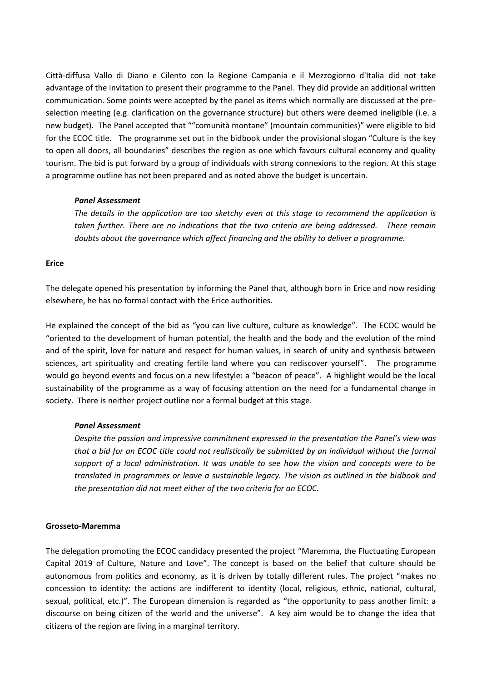Città-diffusa Vallo di Diano e Cilento con la Regione Campania e il Mezzogiorno d'Italia did not take advantage of the invitation to present their programme to the Panel. They did provide an additional written communication. Some points were accepted by the panel as items which normally are discussed at the preselection meeting (e.g. clarification on the governance structure) but others were deemed ineligible (i.e. a new budget). The Panel accepted that ""comunità montane" (mountain communities)" were eligible to bid for the ECOC title. The programme set out in the bidbook under the provisional slogan "Culture is the key to open all doors, all boundaries" describes the region as one which favours cultural economy and quality tourism. The bid is put forward by a group of individuals with strong connexions to the region. At this stage a programme outline has not been prepared and as noted above the budget is uncertain.

#### *Panel Assessment*

*The details in the application are too sketchy even at this stage to recommend the application is taken further. There are no indications that the two criteria are being addressed. There remain doubts about the governance which affect financing and the ability to deliver a programme.* 

# **Erice**

The delegate opened his presentation by informing the Panel that, although born in Erice and now residing elsewhere, he has no formal contact with the Erice authorities.

He explained the concept of the bid as "you can live culture, culture as knowledge". The ECOC would be "oriented to the development of human potential, the health and the body and the evolution of the mind and of the spirit, love for nature and respect for human values, in search of unity and synthesis between sciences, art spirituality and creating fertile land where you can rediscover yourself". The programme would go beyond events and focus on a new lifestyle: a "beacon of peace". A highlight would be the local sustainability of the programme as a way of focusing attention on the need for a fundamental change in society. There is neither project outline nor a formal budget at this stage.

# *Panel Assessment*

*Despite the passion and impressive commitment expressed in the presentation the Panel's view was that a bid for an ECOC title could not realistically be submitted by an individual without the formal support of a local administration. It was unable to see how the vision and concepts were to be translated in programmes or leave a sustainable legacy. The vision as outlined in the bidbook and the presentation did not meet either of the two criteria for an ECOC.*

#### **Grosseto-Maremma**

The delegation promoting the ECOC candidacy presented the project "Maremma, the Fluctuating European Capital 2019 of Culture, Nature and Love". The concept is based on the belief that culture should be autonomous from politics and economy, as it is driven by totally different rules. The project "makes no concession to identity: the actions are indifferent to identity (local, religious, ethnic, national, cultural, sexual, political, etc.)". The European dimension is regarded as "the opportunity to pass another limit: a discourse on being citizen of the world and the universe". A key aim would be to change the idea that citizens of the region are living in a marginal territory.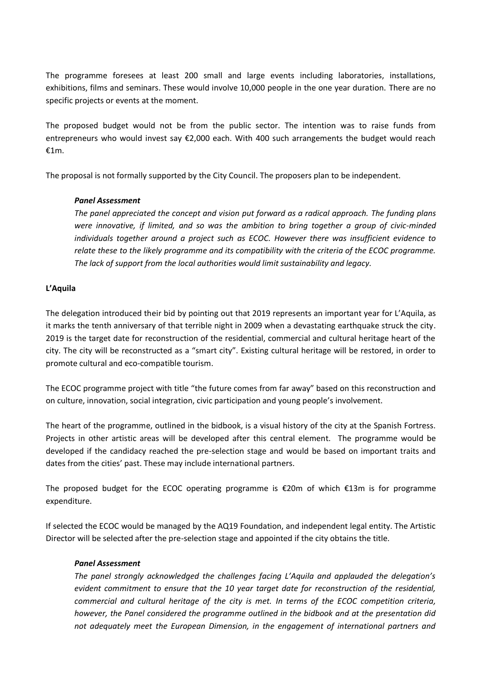The programme foresees at least 200 small and large events including laboratories, installations, exhibitions, films and seminars. These would involve 10,000 people in the one year duration. There are no specific projects or events at the moment.

The proposed budget would not be from the public sector. The intention was to raise funds from entrepreneurs who would invest say €2,000 each. With 400 such arrangements the budget would reach €1m.

The proposal is not formally supported by the City Council. The proposers plan to be independent.

# *Panel Assessment*

*The panel appreciated the concept and vision put forward as a radical approach. The funding plans were innovative, if limited, and so was the ambition to bring together a group of civic-minded individuals together around a project such as ECOC. However there was insufficient evidence to relate these to the likely programme and its compatibility with the criteria of the ECOC programme. The lack of support from the local authorities would limit sustainability and legacy.*

# **L'Aquila**

The delegation introduced their bid by pointing out that 2019 represents an important year for L'Aquila, as it marks the tenth anniversary of that terrible night in 2009 when a devastating earthquake struck the city. 2019 is the target date for reconstruction of the residential, commercial and cultural heritage heart of the city. The city will be reconstructed as a "smart city". Existing cultural heritage will be restored, in order to promote cultural and eco-compatible tourism.

The ECOC programme project with title "the future comes from far away" based on this reconstruction and on culture, innovation, social integration, civic participation and young people's involvement.

The heart of the programme, outlined in the bidbook, is a visual history of the city at the Spanish Fortress. Projects in other artistic areas will be developed after this central element. The programme would be developed if the candidacy reached the pre-selection stage and would be based on important traits and dates from the cities' past. These may include international partners.

The proposed budget for the ECOC operating programme is €20m of which €13m is for programme expenditure.

If selected the ECOC would be managed by the AQ19 Foundation, and independent legal entity. The Artistic Director will be selected after the pre-selection stage and appointed if the city obtains the title.

# *Panel Assessment*

*The panel strongly acknowledged the challenges facing L'Aquila and applauded the delegation's evident commitment to ensure that the 10 year target date for reconstruction of the residential, commercial and cultural heritage of the city is met. In terms of the ECOC competition criteria, however, the Panel considered the programme outlined in the bidbook and at the presentation did not adequately meet the European Dimension, in the engagement of international partners and*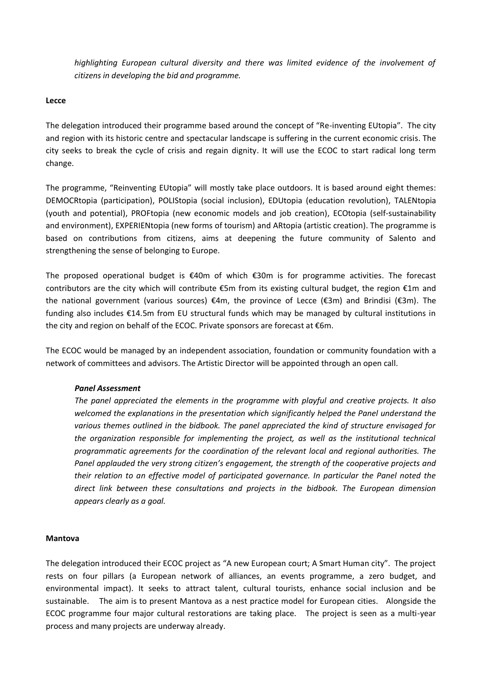highlighting European cultural diversity and there was limited evidence of the involvement of *citizens in developing the bid and programme.*

### **Lecce**

The delegation introduced their programme based around the concept of "Re-inventing EUtopia". The city and region with its historic centre and spectacular landscape is suffering in the current economic crisis. The city seeks to break the cycle of crisis and regain dignity. It will use the ECOC to start radical long term change.

The programme, "Reinventing EUtopia" will mostly take place outdoors. It is based around eight themes: DEMOCRtopia (participation), POLIStopia (social inclusion), EDUtopia (education revolution), TALENtopia (youth and potential), PROFtopia (new economic models and job creation), ECOtopia (self-sustainability and environment), EXPERIENtopia (new forms of tourism) and ARtopia (artistic creation). The programme is based on contributions from citizens, aims at deepening the future community of Salento and strengthening the sense of belonging to Europe.

The proposed operational budget is €40m of which €30m is for programme activities. The forecast contributors are the city which will contribute €5m from its existing cultural budget, the region €1m and the national government (various sources) €4m, the province of Lecce (€3m) and Brindisi (€3m). The funding also includes €14.5m from EU structural funds which may be managed by cultural institutions in the city and region on behalf of the ECOC. Private sponsors are forecast at €6m.

The ECOC would be managed by an independent association, foundation or community foundation with a network of committees and advisors. The Artistic Director will be appointed through an open call.

# *Panel Assessment*

*The panel appreciated the elements in the programme with playful and creative projects. It also welcomed the explanations in the presentation which significantly helped the Panel understand the various themes outlined in the bidbook. The panel appreciated the kind of structure envisaged for the organization responsible for implementing the project, as well as the institutional technical programmatic agreements for the coordination of the relevant local and regional authorities. The Panel applauded the very strong citizen's engagement, the strength of the cooperative projects and their relation to an effective model of participated governance. In particular the Panel noted the direct link between these consultations and projects in the bidbook. The European dimension appears clearly as a goal.*

#### **Mantova**

The delegation introduced their ECOC project as "A new European court; A Smart Human city". The project rests on four pillars (a European network of alliances, an events programme, a zero budget, and environmental impact). It seeks to attract talent, cultural tourists, enhance social inclusion and be sustainable. The aim is to present Mantova as a nest practice model for European cities. Alongside the ECOC programme four major cultural restorations are taking place. The project is seen as a multi-year process and many projects are underway already.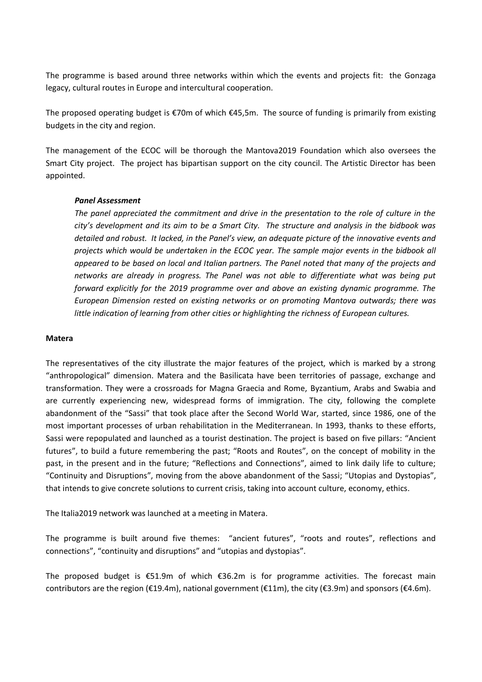The programme is based around three networks within which the events and projects fit: the Gonzaga legacy, cultural routes in Europe and intercultural cooperation.

The proposed operating budget is €70m of which €45,5m. The source of funding is primarily from existing budgets in the city and region.

The management of the ECOC will be thorough the Mantova2019 Foundation which also oversees the Smart City project. The project has bipartisan support on the city council. The Artistic Director has been appointed.

# *Panel Assessment*

*The panel appreciated the commitment and drive in the presentation to the role of culture in the city's development and its aim to be a Smart City. The structure and analysis in the bidbook was detailed and robust. It lacked, in the Panel's view, an adequate picture of the innovative events and projects which would be undertaken in the ECOC year. The sample major events in the bidbook all appeared to be based on local and Italian partners. The Panel noted that many of the projects and networks are already in progress. The Panel was not able to differentiate what was being put forward explicitly for the 2019 programme over and above an existing dynamic programme. The European Dimension rested on existing networks or on promoting Mantova outwards; there was little indication of learning from other cities or highlighting the richness of European cultures.* 

# **Matera**

The representatives of the city illustrate the major features of the project, which is marked by a strong "anthropological" dimension. Matera and the Basilicata have been territories of passage, exchange and transformation. They were a crossroads for Magna Graecia and Rome, Byzantium, Arabs and Swabia and are currently experiencing new, widespread forms of immigration. The city, following the complete abandonment of the "Sassi" that took place after the Second World War, started, since 1986, one of the most important processes of urban rehabilitation in the Mediterranean. In 1993, thanks to these efforts, Sassi were repopulated and launched as a tourist destination. The project is based on five pillars: "Ancient futures", to build a future remembering the past; "Roots and Routes", on the concept of mobility in the past, in the present and in the future; "Reflections and Connections", aimed to link daily life to culture; "Continuity and Disruptions", moving from the above abandonment of the Sassi; "Utopias and Dystopias", that intends to give concrete solutions to current crisis, taking into account culture, economy, ethics.

The Italia2019 network was launched at a meeting in Matera.

The programme is built around five themes: "ancient futures", "roots and routes", reflections and connections", "continuity and disruptions" and "utopias and dystopias".

The proposed budget is  $E$ 51.9m of which  $E$ 36.2m is for programme activities. The forecast main contributors are the region (€19.4m), national government (€11m), the city (€3.9m) and sponsors (€4.6m).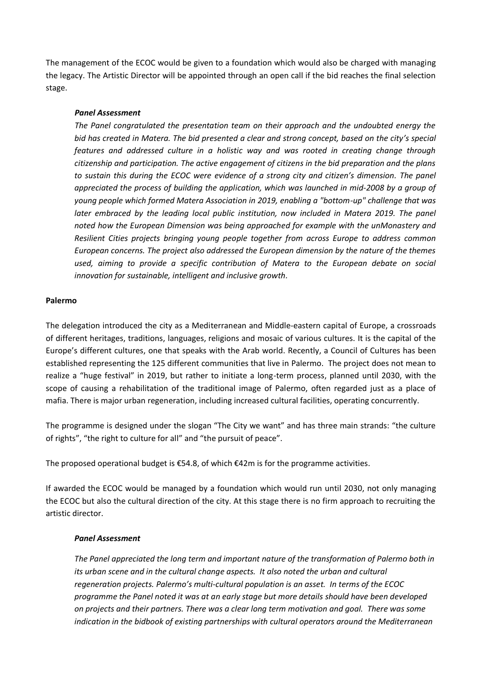The management of the ECOC would be given to a foundation which would also be charged with managing the legacy. The Artistic Director will be appointed through an open call if the bid reaches the final selection stage.

# *Panel Assessment*

*The Panel congratulated the presentation team on their approach and the undoubted energy the bid has created in Matera. The bid presented a clear and strong concept, based on the city's special features and addressed culture in a holistic way and was rooted in creating change through citizenship and participation. The active engagement of citizens in the bid preparation and the plans to sustain this during the ECOC were evidence of a strong city and citizen's dimension. The panel appreciated the process of building the application, which was launched in mid-2008 by a group of young people which formed Matera Association in 2019, enabling a "bottom-up" challenge that was later embraced by the leading local public institution, now included in Matera 2019. The panel noted how the European Dimension was being approached for example with the unMonastery and Resilient Cities projects bringing young people together from across Europe to address common European concerns. The project also addressed the European dimension by the nature of the themes used, aiming to provide a specific contribution of Matera to the European debate on social innovation for sustainable, intelligent and inclusive growth.*

# **Palermo**

The delegation introduced the city as a Mediterranean and Middle-eastern capital of Europe, a crossroads of different heritages, traditions, languages, religions and mosaic of various cultures. It is the capital of the Europe's different cultures, one that speaks with the Arab world. Recently, a Council of Cultures has been established representing the 125 different communities that live in Palermo. The project does not mean to realize a "huge festival" in 2019, but rather to initiate a long-term process, planned until 2030, with the scope of causing a rehabilitation of the traditional image of Palermo, often regarded just as a place of mafia. There is major urban regeneration, including increased cultural facilities, operating concurrently.

The programme is designed under the slogan "The City we want" and has three main strands: "the culture of rights", "the right to culture for all" and "the pursuit of peace".

The proposed operational budget is  $\epsilon$ 54.8, of which  $\epsilon$ 42m is for the programme activities.

If awarded the ECOC would be managed by a foundation which would run until 2030, not only managing the ECOC but also the cultural direction of the city. At this stage there is no firm approach to recruiting the artistic director.

# *Panel Assessment*

*The Panel appreciated the long term and important nature of the transformation of Palermo both in its urban scene and in the cultural change aspects. It also noted the urban and cultural regeneration projects. Palermo's multi-cultural population is an asset. In terms of the ECOC programme the Panel noted it was at an early stage but more details should have been developed on projects and their partners. There was a clear long term motivation and goal. There was some indication in the bidbook of existing partnerships with cultural operators around the Mediterranean*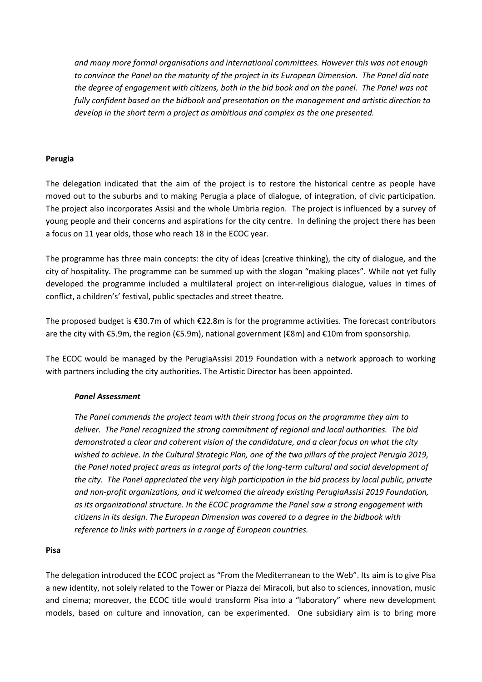*and many more formal organisations and international committees. However this was not enough to convince the Panel on the maturity of the project in its European Dimension. The Panel did note the degree of engagement with citizens, both in the bid book and on the panel. The Panel was not fully confident based on the bidbook and presentation on the management and artistic direction to develop in the short term a project as ambitious and complex as the one presented.*

# **Perugia**

The delegation indicated that the aim of the project is to restore the historical centre as people have moved out to the suburbs and to making Perugia a place of dialogue, of integration, of civic participation. The project also incorporates Assisi and the whole Umbria region. The project is influenced by a survey of young people and their concerns and aspirations for the city centre. In defining the project there has been a focus on 11 year olds, those who reach 18 in the ECOC year.

The programme has three main concepts: the city of ideas (creative thinking), the city of dialogue, and the city of hospitality. The programme can be summed up with the slogan "making places". While not yet fully developed the programme included a multilateral project on inter-religious dialogue, values in times of conflict, a children's' festival, public spectacles and street theatre.

The proposed budget is €30.7m of which €22.8m is for the programme activities. The forecast contributors are the city with €5.9m, the region (€5.9m), national government (€8m) and €10m from sponsorship.

The ECOC would be managed by the PerugiaAssisi 2019 Foundation with a network approach to working with partners including the city authorities. The Artistic Director has been appointed.

# *Panel Assessment*

*The Panel commends the project team with their strong focus on the programme they aim to deliver. The Panel recognized the strong commitment of regional and local authorities. The bid demonstrated a clear and coherent vision of the candidature, and a clear focus on what the city wished to achieve. In the Cultural Strategic Plan, one of the two pillars of the project Perugia 2019, the Panel noted project areas as integral parts of the long-term cultural and social development of the city. The Panel appreciated the very high participation in the bid process by local public, private and non-profit organizations, and it welcomed the already existing PerugiaAssisi 2019 Foundation, as its organizational structure. In the ECOC programme the Panel saw a strong engagement with citizens in its design. The European Dimension was covered to a degree in the bidbook with reference to links with partners in a range of European countries.*

# **Pisa**

The delegation introduced the ECOC project as "From the Mediterranean to the Web". Its aim is to give Pisa a new identity, not solely related to the Tower or Piazza dei Miracoli, but also to sciences, innovation, music and cinema; moreover, the ECOC title would transform Pisa into a "laboratory" where new development models, based on culture and innovation, can be experimented. One subsidiary aim is to bring more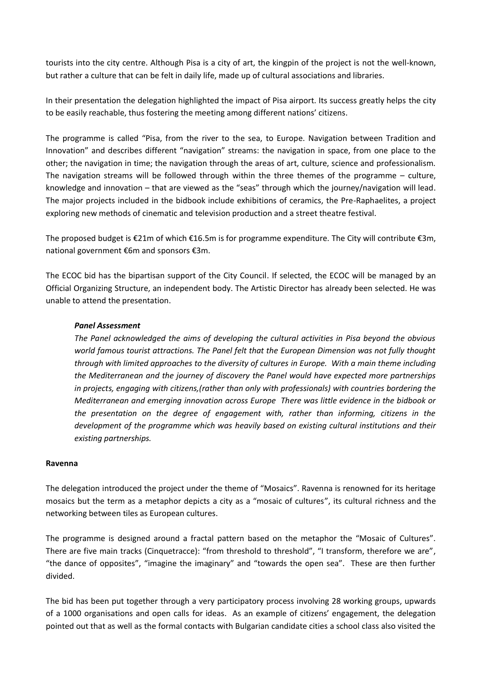tourists into the city centre. Although Pisa is a city of art, the kingpin of the project is not the well-known, but rather a culture that can be felt in daily life, made up of cultural associations and libraries.

In their presentation the delegation highlighted the impact of Pisa airport. Its success greatly helps the city to be easily reachable, thus fostering the meeting among different nations' citizens.

The programme is called "Pisa, from the river to the sea, to Europe. Navigation between Tradition and Innovation" and describes different "navigation" streams: the navigation in space, from one place to the other; the navigation in time; the navigation through the areas of art, culture, science and professionalism. The navigation streams will be followed through within the three themes of the programme – culture, knowledge and innovation – that are viewed as the "seas" through which the journey/navigation will lead. The major projects included in the bidbook include exhibitions of ceramics, the Pre-Raphaelites, a project exploring new methods of cinematic and television production and a street theatre festival.

The proposed budget is  $\epsilon$ 21m of which  $\epsilon$ 16.5m is for programme expenditure. The City will contribute  $\epsilon$ 3m, national government €6m and sponsors €3m.

The ECOC bid has the bipartisan support of the City Council. If selected, the ECOC will be managed by an Official Organizing Structure, an independent body. The Artistic Director has already been selected. He was unable to attend the presentation.

# *Panel Assessment*

*The Panel acknowledged the aims of developing the cultural activities in Pisa beyond the obvious world famous tourist attractions. The Panel felt that the European Dimension was not fully thought through with limited approaches to the diversity of cultures in Europe. With a main theme including the Mediterranean and the journey of discovery the Panel would have expected more partnerships in projects, engaging with citizens,(rather than only with professionals) with countries bordering the Mediterranean and emerging innovation across Europe There was little evidence in the bidbook or the presentation on the degree of engagement with, rather than informing, citizens in the development of the programme which was heavily based on existing cultural institutions and their existing partnerships.* 

# **Ravenna**

The delegation introduced the project under the theme of "Mosaics". Ravenna is renowned for its heritage mosaics but the term as a metaphor depicts a city as a "mosaic of cultures", its cultural richness and the networking between tiles as European cultures.

The programme is designed around a fractal pattern based on the metaphor the "Mosaic of Cultures". There are five main tracks (Cinquetracce): "from threshold to threshold", "I transform, therefore we are", "the dance of opposites", "imagine the imaginary" and "towards the open sea". These are then further divided.

The bid has been put together through a very participatory process involving 28 working groups, upwards of a 1000 organisations and open calls for ideas. As an example of citizens' engagement, the delegation pointed out that as well as the formal contacts with Bulgarian candidate cities a school class also visited the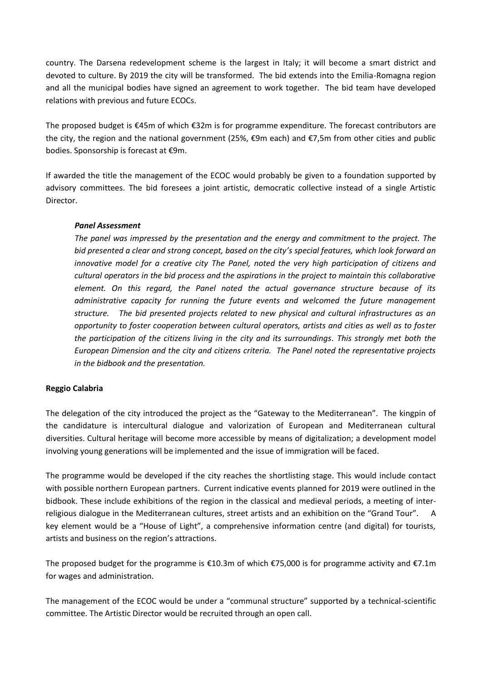country. The Darsena redevelopment scheme is the largest in Italy; it will become a smart district and devoted to culture. By 2019 the city will be transformed. The bid extends into the Emilia-Romagna region and all the municipal bodies have signed an agreement to work together. The bid team have developed relations with previous and future ECOCs.

The proposed budget is €45m of which €32m is for programme expenditure. The forecast contributors are the city, the region and the national government (25%, €9m each) and €7,5m from other cities and public bodies. Sponsorship is forecast at €9m.

If awarded the title the management of the ECOC would probably be given to a foundation supported by advisory committees. The bid foresees a joint artistic, democratic collective instead of a single Artistic Director.

# *Panel Assessment*

*The panel was impressed by the presentation and the energy and commitment to the project. The bid presented a clear and strong concept, based on the city's special features, which look forward an innovative model for a creative city The Panel, noted the very high participation of citizens and cultural operators in the bid process and the aspirations in the project to maintain this collaborative element. On this regard, the Panel noted the actual governance structure because of its administrative capacity for running the future events and welcomed the future management structure. The bid presented projects related to new physical and cultural infrastructures as an opportunity to foster cooperation between cultural operators, artists and cities as well as to foster the participation of the citizens living in the city and its surroundings. This strongly met both the European Dimension and the city and citizens criteria. The Panel noted the representative projects in the bidbook and the presentation.*

# **Reggio Calabria**

The delegation of the city introduced the project as the "Gateway to the Mediterranean". The kingpin of the candidature is intercultural dialogue and valorization of European and Mediterranean cultural diversities. Cultural heritage will become more accessible by means of digitalization; a development model involving young generations will be implemented and the issue of immigration will be faced.

The programme would be developed if the city reaches the shortlisting stage. This would include contact with possible northern European partners. Current indicative events planned for 2019 were outlined in the bidbook. These include exhibitions of the region in the classical and medieval periods, a meeting of interreligious dialogue in the Mediterranean cultures, street artists and an exhibition on the "Grand Tour". key element would be a "House of Light", a comprehensive information centre (and digital) for tourists, artists and business on the region's attractions.

The proposed budget for the programme is  $\epsilon$ 10.3m of which  $\epsilon$ 75,000 is for programme activity and  $\epsilon$ 7.1m for wages and administration.

The management of the ECOC would be under a "communal structure" supported by a technical-scientific committee. The Artistic Director would be recruited through an open call.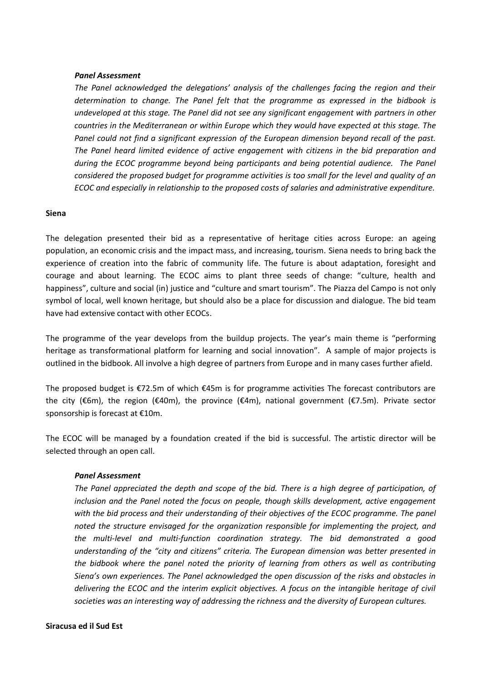#### *Panel Assessment*

*The Panel acknowledged the delegations' analysis of the challenges facing the region and their determination to change. The Panel felt that the programme as expressed in the bidbook is undeveloped at this stage. The Panel did not see any significant engagement with partners in other countries in the Mediterranean or within Europe which they would have expected at this stage. The Panel could not find a significant expression of the European dimension beyond recall of the past. The Panel heard limited evidence of active engagement with citizens in the bid preparation and during the ECOC programme beyond being participants and being potential audience. The Panel considered the proposed budget for programme activities is too small for the level and quality of an ECOC and especially in relationship to the proposed costs of salaries and administrative expenditure.*

#### **Siena**

The delegation presented their bid as a representative of heritage cities across Europe: an ageing population, an economic crisis and the impact mass, and increasing, tourism. Siena needs to bring back the experience of creation into the fabric of community life. The future is about adaptation, foresight and courage and about learning. The ECOC aims to plant three seeds of change: "culture, health and happiness", culture and social (in) justice and "culture and smart tourism". The Piazza del Campo is not only symbol of local, well known heritage, but should also be a place for discussion and dialogue. The bid team have had extensive contact with other ECOCs.

The programme of the year develops from the buildup projects. The year's main theme is "performing heritage as transformational platform for learning and social innovation". A sample of major projects is outlined in the bidbook. All involve a high degree of partners from Europe and in many cases further afield.

The proposed budget is €72.5m of which €45m is for programme activities The forecast contributors are the city (€6m), the region (€40m), the province (€4m), national government (€7.5m). Private sector sponsorship is forecast at €10m.

The ECOC will be managed by a foundation created if the bid is successful. The artistic director will be selected through an open call.

#### *Panel Assessment*

*The Panel appreciated the depth and scope of the bid. There is a high degree of participation, of inclusion and the Panel noted the focus on people, though skills development, active engagement with the bid process and their understanding of their objectives of the ECOC programme. The panel noted the structure envisaged for the organization responsible for implementing the project, and the multi-level and multi-function coordination strategy. The bid demonstrated a good understanding of the "city and citizens" criteria. The European dimension was better presented in the bidbook where the panel noted the priority of learning from others as well as contributing Siena's own experiences. The Panel acknowledged the open discussion of the risks and obstacles in delivering the ECOC and the interim explicit objectives. A focus on the intangible heritage of civil societies was an interesting way of addressing the richness and the diversity of European cultures.*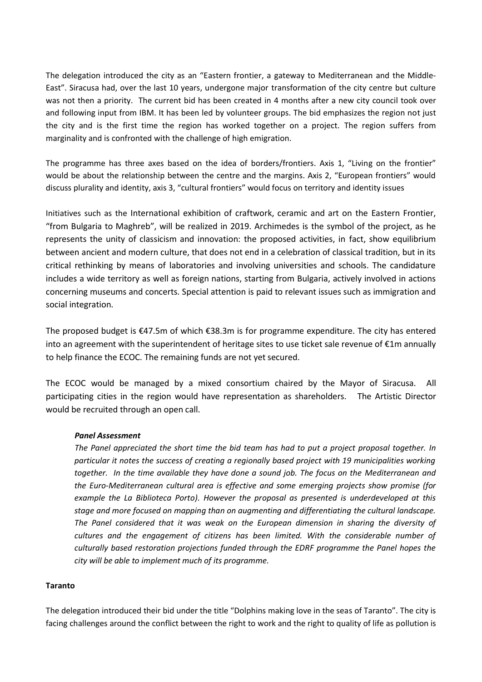The delegation introduced the city as an "Eastern frontier, a gateway to Mediterranean and the Middle-East". Siracusa had, over the last 10 years, undergone major transformation of the city centre but culture was not then a priority. The current bid has been created in 4 months after a new city council took over and following input from IBM. It has been led by volunteer groups. The bid emphasizes the region not just the city and is the first time the region has worked together on a project. The region suffers from marginality and is confronted with the challenge of high emigration.

The programme has three axes based on the idea of borders/frontiers. Axis 1, "Living on the frontier" would be about the relationship between the centre and the margins. Axis 2, "European frontiers" would discuss plurality and identity, axis 3, "cultural frontiers" would focus on territory and identity issues

Initiatives such as the International exhibition of craftwork, ceramic and art on the Eastern Frontier, "from Bulgaria to Maghreb", will be realized in 2019. Archimedes is the symbol of the project, as he represents the unity of classicism and innovation: the proposed activities, in fact, show equilibrium between ancient and modern culture, that does not end in a celebration of classical tradition, but in its critical rethinking by means of laboratories and involving universities and schools. The candidature includes a wide territory as well as foreign nations, starting from Bulgaria, actively involved in actions concerning museums and concerts. Special attention is paid to relevant issues such as immigration and social integration.

The proposed budget is €47.5m of which €38.3m is for programme expenditure. The city has entered into an agreement with the superintendent of heritage sites to use ticket sale revenue of  $E1m$  annually to help finance the ECOC. The remaining funds are not yet secured.

The ECOC would be managed by a mixed consortium chaired by the Mayor of Siracusa. All participating cities in the region would have representation as shareholders. The Artistic Director would be recruited through an open call.

# *Panel Assessment*

*The Panel appreciated the short time the bid team has had to put a project proposal together. In particular it notes the success of creating a regionally based project with 19 municipalities working together. In the time available they have done a sound job. The focus on the Mediterranean and the Euro-Mediterranean cultural area is effective and some emerging projects show promise (for example the La Biblioteca Porto). However the proposal as presented is underdeveloped at this stage and more focused on mapping than on augmenting and differentiating the cultural landscape. The Panel considered that it was weak on the European dimension in sharing the diversity of cultures and the engagement of citizens has been limited. With the considerable number of culturally based restoration projections funded through the EDRF programme the Panel hopes the city will be able to implement much of its programme.*

# **Taranto**

The delegation introduced their bid under the title "Dolphins making love in the seas of Taranto". The city is facing challenges around the conflict between the right to work and the right to quality of life as pollution is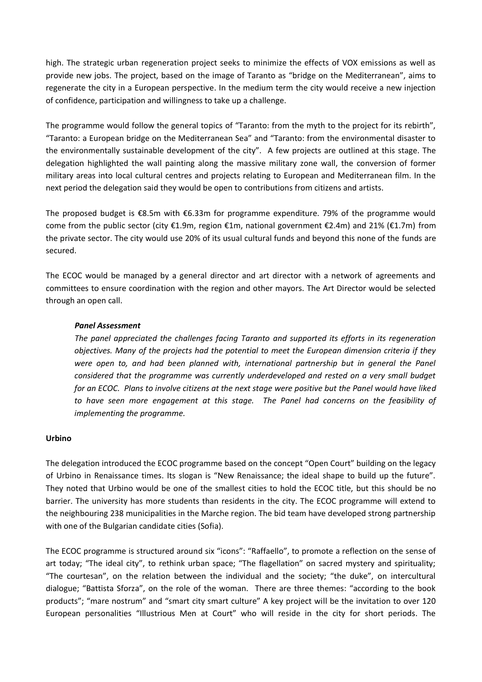high. The strategic urban regeneration project seeks to minimize the effects of VOX emissions as well as provide new jobs. The project, based on the image of Taranto as "bridge on the Mediterranean", aims to regenerate the city in a European perspective. In the medium term the city would receive a new injection of confidence, participation and willingness to take up a challenge.

The programme would follow the general topics of "Taranto: from the myth to the project for its rebirth", "Taranto: a European bridge on the Mediterranean Sea" and "Taranto: from the environmental disaster to the environmentally sustainable development of the city". A few projects are outlined at this stage. The delegation highlighted the wall painting along the massive military zone wall, the conversion of former military areas into local cultural centres and projects relating to European and Mediterranean film. In the next period the delegation said they would be open to contributions from citizens and artists.

The proposed budget is €8.5m with €6.33m for programme expenditure. 79% of the programme would come from the public sector (city €1.9m, region €1m, national government €2.4m) and 21% (€1.7m) from the private sector. The city would use 20% of its usual cultural funds and beyond this none of the funds are secured.

The ECOC would be managed by a general director and art director with a network of agreements and committees to ensure coordination with the region and other mayors. The Art Director would be selected through an open call.

# *Panel Assessment*

*The panel appreciated the challenges facing Taranto and supported its efforts in its regeneration objectives. Many of the projects had the potential to meet the European dimension criteria if they*  were open to, and had been planned with, international partnership but in general the Panel *considered that the programme was currently underdeveloped and rested on a very small budget for an ECOC. Plans to involve citizens at the next stage were positive but the Panel would have liked to have seen more engagement at this stage. The Panel had concerns on the feasibility of implementing the programme.*

# **Urbino**

The delegation introduced the ECOC programme based on the concept "Open Court" building on the legacy of Urbino in Renaissance times. Its slogan is "New Renaissance; the ideal shape to build up the future". They noted that Urbino would be one of the smallest cities to hold the ECOC title, but this should be no barrier. The university has more students than residents in the city. The ECOC programme will extend to the neighbouring 238 municipalities in the Marche region. The bid team have developed strong partnership with one of the Bulgarian candidate cities (Sofia).

The ECOC programme is structured around six "icons": "Raffaello", to promote a reflection on the sense of art today; "The ideal city", to rethink urban space; "The flagellation" on sacred mystery and spirituality; "The courtesan", on the relation between the individual and the society; "the duke", on intercultural dialogue; "Battista Sforza", on the role of the woman. There are three themes: "according to the book products"; "mare nostrum" and "smart city smart culture" A key project will be the invitation to over 120 European personalities "Illustrious Men at Court" who will reside in the city for short periods. The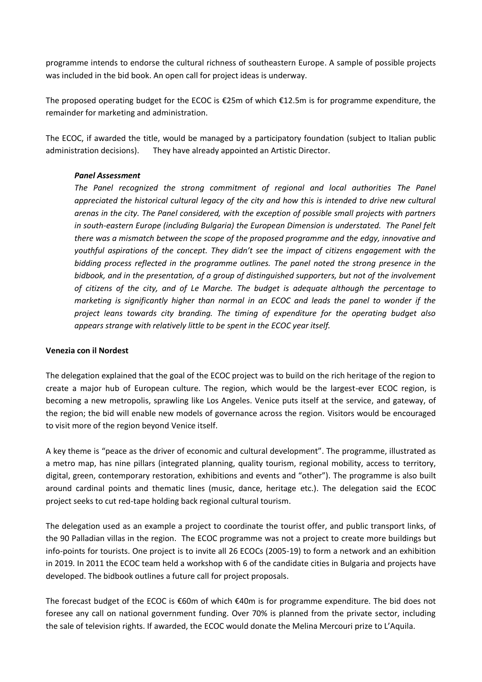programme intends to endorse the cultural richness of southeastern Europe. A sample of possible projects was included in the bid book. An open call for project ideas is underway.

The proposed operating budget for the ECOC is €25m of which €12.5m is for programme expenditure, the remainder for marketing and administration.

The ECOC, if awarded the title, would be managed by a participatory foundation (subject to Italian public administration decisions). They have already appointed an Artistic Director.

# *Panel Assessment*

*The Panel recognized the strong commitment of regional and local authorities The Panel appreciated the historical cultural legacy of the city and how this is intended to drive new cultural arenas in the city. The Panel considered, with the exception of possible small projects with partners in south-eastern Europe (including Bulgaria) the European Dimension is understated. The Panel felt there was a mismatch between the scope of the proposed programme and the edgy, innovative and youthful aspirations of the concept. They didn't see the impact of citizens engagement with the bidding process reflected in the programme outlines. The panel noted the strong presence in the bidbook, and in the presentation, of a group of distinguished supporters, but not of the involvement of citizens of the city, and of Le Marche. The budget is adequate although the percentage to marketing is significantly higher than normal in an ECOC and leads the panel to wonder if the project leans towards city branding. The timing of expenditure for the operating budget also appears strange with relatively little to be spent in the ECOC year itself.*

# **Venezia con il Nordest**

The delegation explained that the goal of the ECOC project was to build on the rich heritage of the region to create a major hub of European culture. The region, which would be the largest-ever ECOC region, is becoming a new metropolis, sprawling like Los Angeles. Venice puts itself at the service, and gateway, of the region; the bid will enable new models of governance across the region. Visitors would be encouraged to visit more of the region beyond Venice itself.

A key theme is "peace as the driver of economic and cultural development". The programme, illustrated as a metro map, has nine pillars (integrated planning, quality tourism, regional mobility, access to territory, digital, green, contemporary restoration, exhibitions and events and "other"). The programme is also built around cardinal points and thematic lines (music, dance, heritage etc.). The delegation said the ECOC project seeks to cut red-tape holding back regional cultural tourism.

The delegation used as an example a project to coordinate the tourist offer, and public transport links, of the 90 Palladian villas in the region. The ECOC programme was not a project to create more buildings but info-points for tourists. One project is to invite all 26 ECOCs (2005-19) to form a network and an exhibition in 2019. In 2011 the ECOC team held a workshop with 6 of the candidate cities in Bulgaria and projects have developed. The bidbook outlines a future call for project proposals.

The forecast budget of the ECOC is €60m of which €40m is for programme expenditure. The bid does not foresee any call on national government funding. Over 70% is planned from the private sector, including the sale of television rights. If awarded, the ECOC would donate the Melina Mercouri prize to L'Aquila.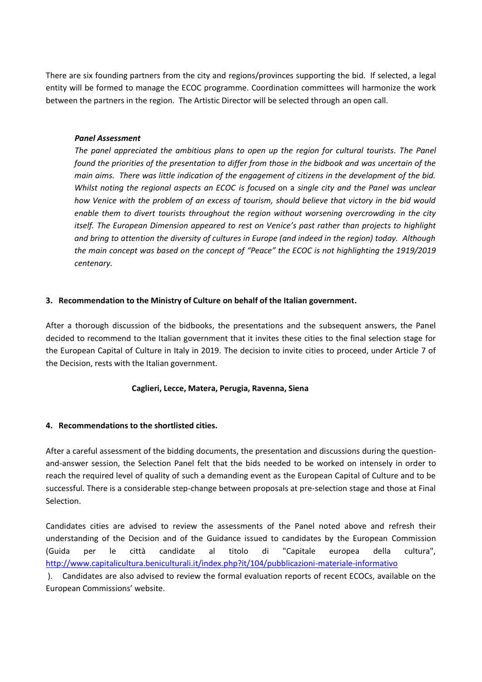There are six founding partners from the city and regions/provinces supporting the bid. If selected, a legal entity will be formed to manage the ECOC programme. Coordination committees will harmonize the work between the partners in the region. The Artistic Director will be selected through an open call.

# *Panel Assessment*

*The panel appreciated the ambitious plans to open up the region for cultural tourists. The Panel found the priorities of the presentation to differ from those in the bidbook and was uncertain of the main aims. There was little indication of the engagement of citizens in the development of the bid. Whilst noting the regional aspects an ECOC is focused* on a *single city and the Panel was unclear how Venice with the problem of an excess of tourism, should believe that victory in the bid would enable them to divert tourists throughout the region without worsening overcrowding in the city itself. The European Dimension appeared to rest on Venice's past rather than projects to highlight and bring to attention the diversity of cultures in Europe (and indeed in the region) today. Although the main concept was based on the concept of "Peace" the ECOC is not highlighting the 1919/2019 centenary.* 

# **3. Recommendation to the Ministry of Culture on behalf of the Italian government.**

After a thorough discussion of the bidbooks, the presentations and the subsequent answers, the Panel decided to recommend to the Italian government that it invites these cities to the final selection stage for the European Capital of Culture in Italy in 2019. The decision to invite cities to proceed, under Article 7 of the Decision, rests with the Italian government.

# **Caglieri, Lecce, Matera, Perugia, Ravenna, Siena**

# **4. Recommendations to the shortlisted cities.**

After a careful assessment of the bidding documents, the presentation and discussions during the questionand-answer session, the Selection Panel felt that the bids needed to be worked on intensely in order to reach the required level of quality of such a demanding event as the European Capital of Culture and to be successful. There is a considerable step-change between proposals at pre-selection stage and those at Final Selection.

Candidates cities are advised to review the assessments of the Panel noted above and refresh their understanding of the Decision and of the Guidance issued to candidates by the European Commission (Guida per le città candidate al titolo di "Capitale europea della cultura", <http://www.capitalicultura.beniculturali.it/index.php?it/104/pubblicazioni-materiale-informativo>

). Candidates are also advised to review the formal evaluation reports of recent ECOCs, available on the European Commissions' website.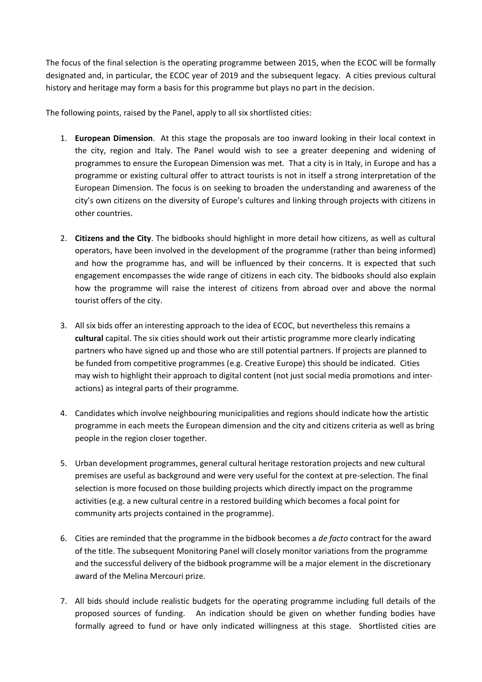The focus of the final selection is the operating programme between 2015, when the ECOC will be formally designated and, in particular, the ECOC year of 2019 and the subsequent legacy. A cities previous cultural history and heritage may form a basis for this programme but plays no part in the decision.

The following points, raised by the Panel, apply to all six shortlisted cities:

- 1. **European Dimension**. At this stage the proposals are too inward looking in their local context in the city, region and Italy. The Panel would wish to see a greater deepening and widening of programmes to ensure the European Dimension was met. That a city is in Italy, in Europe and has a programme or existing cultural offer to attract tourists is not in itself a strong interpretation of the European Dimension. The focus is on seeking to broaden the understanding and awareness of the city's own citizens on the diversity of Europe's cultures and linking through projects with citizens in other countries.
- 2. **Citizens and the City**. The bidbooks should highlight in more detail how citizens, as well as cultural operators, have been involved in the development of the programme (rather than being informed) and how the programme has, and will be influenced by their concerns. It is expected that such engagement encompasses the wide range of citizens in each city. The bidbooks should also explain how the programme will raise the interest of citizens from abroad over and above the normal tourist offers of the city.
- 3. All six bids offer an interesting approach to the idea of ECOC, but nevertheless this remains a **cultural** capital. The six cities should work out their artistic programme more clearly indicating partners who have signed up and those who are still potential partners. If projects are planned to be funded from competitive programmes (e.g. Creative Europe) this should be indicated. Cities may wish to highlight their approach to digital content (not just social media promotions and interactions) as integral parts of their programme.
- 4. Candidates which involve neighbouring municipalities and regions should indicate how the artistic programme in each meets the European dimension and the city and citizens criteria as well as bring people in the region closer together.
- 5. Urban development programmes, general cultural heritage restoration projects and new cultural premises are useful as background and were very useful for the context at pre-selection. The final selection is more focused on those building projects which directly impact on the programme activities (e.g. a new cultural centre in a restored building which becomes a focal point for community arts projects contained in the programme).
- 6. Cities are reminded that the programme in the bidbook becomes a *de facto* contract for the award of the title. The subsequent Monitoring Panel will closely monitor variations from the programme and the successful delivery of the bidbook programme will be a major element in the discretionary award of the Melina Mercouri prize.
- 7. All bids should include realistic budgets for the operating programme including full details of the proposed sources of funding. An indication should be given on whether funding bodies have formally agreed to fund or have only indicated willingness at this stage. Shortlisted cities are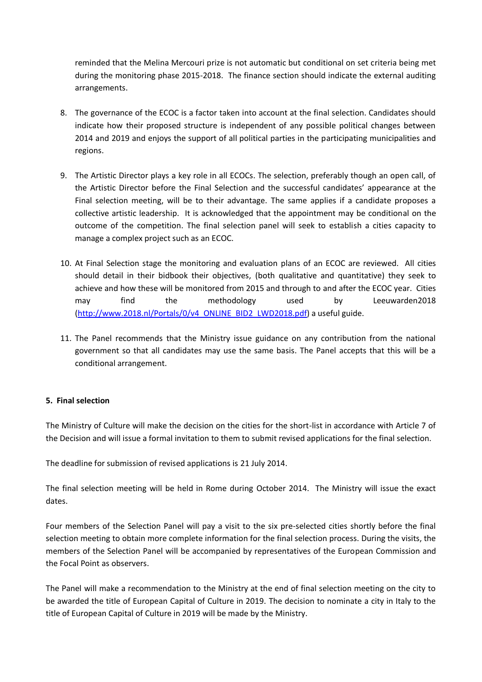reminded that the Melina Mercouri prize is not automatic but conditional on set criteria being met during the monitoring phase 2015-2018. The finance section should indicate the external auditing arrangements.

- 8. The governance of the ECOC is a factor taken into account at the final selection. Candidates should indicate how their proposed structure is independent of any possible political changes between 2014 and 2019 and enjoys the support of all political parties in the participating municipalities and regions.
- 9. The Artistic Director plays a key role in all ECOCs. The selection, preferably though an open call, of the Artistic Director before the Final Selection and the successful candidates' appearance at the Final selection meeting, will be to their advantage. The same applies if a candidate proposes a collective artistic leadership. It is acknowledged that the appointment may be conditional on the outcome of the competition. The final selection panel will seek to establish a cities capacity to manage a complex project such as an ECOC.
- 10. At Final Selection stage the monitoring and evaluation plans of an ECOC are reviewed. All cities should detail in their bidbook their objectives, (both qualitative and quantitative) they seek to achieve and how these will be monitored from 2015 and through to and after the ECOC year. Cities may find the methodology used by Leeuwarden2018 [\(http://www.2018.nl/Portals/0/v4\\_ONLINE\\_BID2\\_LWD2018.pdf\)](http://www.2018.nl/Portals/0/v4_ONLINE_BID2_LWD2018.pdf) a useful guide.
- 11. The Panel recommends that the Ministry issue guidance on any contribution from the national government so that all candidates may use the same basis. The Panel accepts that this will be a conditional arrangement.

# **5. Final selection**

The Ministry of Culture will make the decision on the cities for the short-list in accordance with Article 7 of the Decision and will issue a formal invitation to them to submit revised applications for the final selection.

The deadline for submission of revised applications is 21 July 2014.

The final selection meeting will be held in Rome during October 2014. The Ministry will issue the exact dates.

Four members of the Selection Panel will pay a visit to the six pre-selected cities shortly before the final selection meeting to obtain more complete information for the final selection process. During the visits, the members of the Selection Panel will be accompanied by representatives of the European Commission and the Focal Point as observers.

The Panel will make a recommendation to the Ministry at the end of final selection meeting on the city to be awarded the title of European Capital of Culture in 2019. The decision to nominate a city in Italy to the title of European Capital of Culture in 2019 will be made by the Ministry.